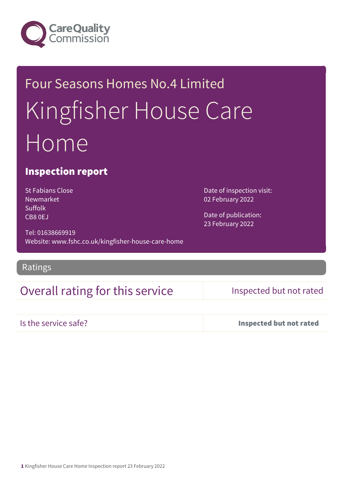

# Four Seasons Homes No.4 Limited Kingfisher House Care Home

## Inspection report

St Fabians Close Newmarket Suffolk CB8 0EJ

Tel: 01638669919 Website: www.fshc.co.uk/kingfisher-house-care-home

## Ratings

## Overall rating for this service Inspected but not rated

Date of inspection visit:

02 February 2022

Date of publication: 23 February 2022

| Is the service safe? |  |
|----------------------|--|
|                      |  |

Inspected but not rated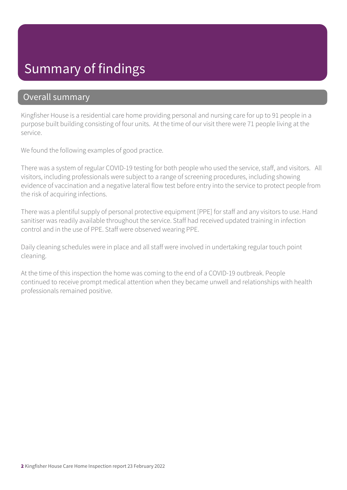## Summary of findings

### Overall summary

Kingfisher House is a residential care home providing personal and nursing care for up to 91 people in a purpose built building consisting of four units. At the time of our visit there were 71 people living at the service.

We found the following examples of good practice.

There was a system of regular COVID-19 testing for both people who used the service, staff, and visitors. All visitors, including professionals were subject to a range of screening procedures, including showing evidence of vaccination and a negative lateral flow test before entry into the service to protect people from the risk of acquiring infections.

There was a plentiful supply of personal protective equipment [PPE] for staff and any visitors to use. Hand sanitiser was readily available throughout the service. Staff had received updated training in infection control and in the use of PPE. Staff were observed wearing PPE.

Daily cleaning schedules were in place and all staff were involved in undertaking regular touch point cleaning.

At the time of this inspection the home was coming to the end of a COVID-19 outbreak. People continued to receive prompt medical attention when they became unwell and relationships with health professionals remained positive.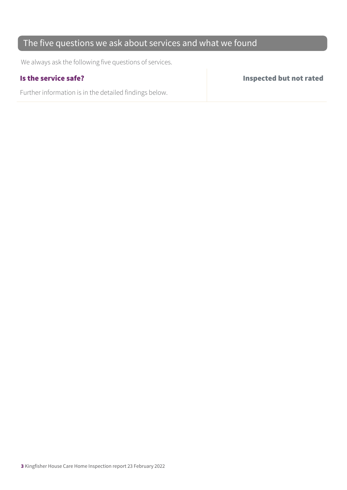## The five questions we ask about services and what we found

We always ask the following five questions of services.

Further information is in the detailed findings below.

Is the service safe? Inspected but not rated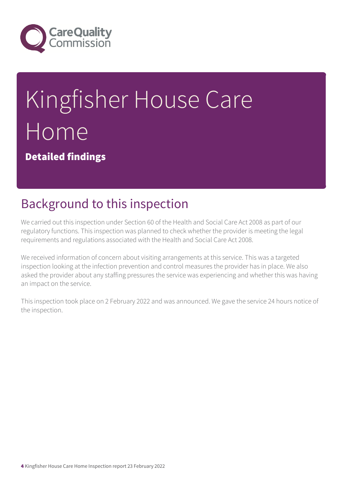

# Kingfisher House Care Home

Detailed findings

# Background to this inspection

We carried out this inspection under Section 60 of the Health and Social Care Act 2008 as part of our regulatory functions. This inspection was planned to check whether the provider is meeting the legal requirements and regulations associated with the Health and Social Care Act 2008.

We received information of concern about visiting arrangements at this service. This was a targeted inspection looking at the infection prevention and control measures the provider has in place. We also asked the provider about any staffing pressures the service was experiencing and whether this was having an impact on the service.

This inspection took place on 2 February 2022 and was announced. We gave the service 24 hours notice of the inspection.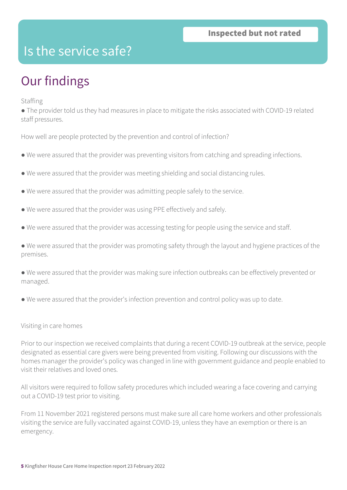## Is the service safe?

# Our findings

Staffing

● The provider told us they had measures in place to mitigate the risks associated with COVID-19 related staff pressures.

How well are people protected by the prevention and control of infection?

- We were assured that the provider was preventing visitors from catching and spreading infections.
- We were assured that the provider was meeting shielding and social distancing rules.
- We were assured that the provider was admitting people safely to the service.
- We were assured that the provider was using PPE effectively and safely.
- We were assured that the provider was accessing testing for people using the service and staff.
- We were assured that the provider was promoting safety through the layout and hygiene practices of the premises.
- We were assured that the provider was making sure infection outbreaks can be effectively prevented or managed.
- We were assured that the provider's infection prevention and control policy was up to date.

### Visiting in care homes

Prior to our inspection we received complaints that during a recent COVID-19 outbreak at the service, people designated as essential care givers were being prevented from visiting. Following our discussions with the homes manager the provider's policy was changed in line with government guidance and people enabled to visit their relatives and loved ones.

All visitors were required to follow safety procedures which included wearing a face covering and carrying out a COVID-19 test prior to visiting.

From 11 November 2021 registered persons must make sure all care home workers and other professionals visiting the service are fully vaccinated against COVID-19, unless they have an exemption or there is an emergency.